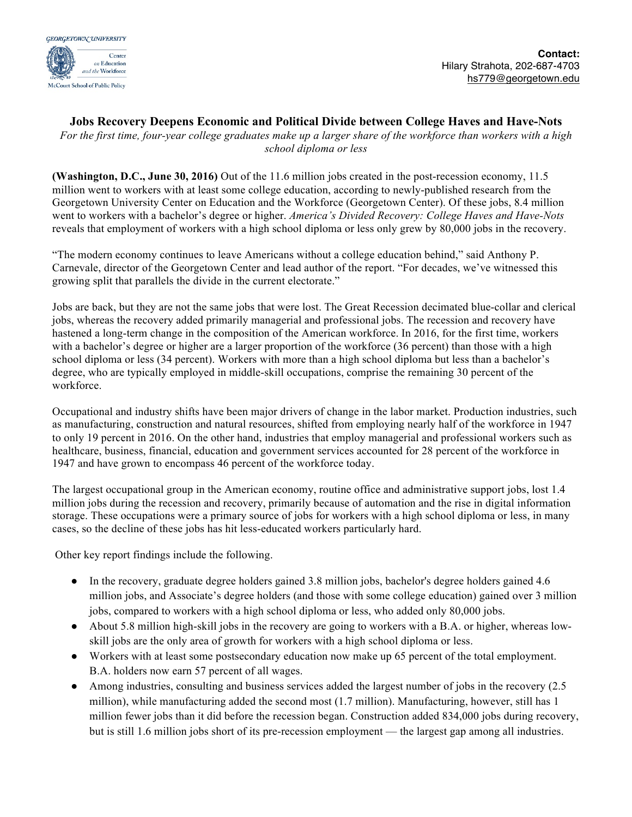

## **Jobs Recovery Deepens Economic and Political Divide between College Haves and Have-Nots**

*For the first time, four-year college graduates make up a larger share of the workforce than workers with a high school diploma or less*

**(Washington, D.C., June 30, 2016)** Out of the 11.6 million jobs created in the post-recession economy, 11.5 million went to workers with at least some college education, according to newly-published research from the Georgetown University Center on Education and the Workforce (Georgetown Center). Of these jobs, 8.4 million went to workers with a bachelor's degree or higher. *America's Divided Recovery: College Haves and Have-Nots*  reveals that employment of workers with a high school diploma or less only grew by 80,000 jobs in the recovery.

"The modern economy continues to leave Americans without a college education behind," said Anthony P. Carnevale, director of the Georgetown Center and lead author of the report. "For decades, we've witnessed this growing split that parallels the divide in the current electorate."

Jobs are back, but they are not the same jobs that were lost. The Great Recession decimated blue-collar and clerical jobs, whereas the recovery added primarily managerial and professional jobs. The recession and recovery have hastened a long-term change in the composition of the American workforce. In 2016, for the first time, workers with a bachelor's degree or higher are a larger proportion of the workforce (36 percent) than those with a high school diploma or less (34 percent). Workers with more than a high school diploma but less than a bachelor's degree, who are typically employed in middle-skill occupations, comprise the remaining 30 percent of the workforce.

Occupational and industry shifts have been major drivers of change in the labor market. Production industries, such as manufacturing, construction and natural resources, shifted from employing nearly half of the workforce in 1947 to only 19 percent in 2016. On the other hand, industries that employ managerial and professional workers such as healthcare, business, financial, education and government services accounted for 28 percent of the workforce in 1947 and have grown to encompass 46 percent of the workforce today.

The largest occupational group in the American economy, routine office and administrative support jobs, lost 1.4 million jobs during the recession and recovery, primarily because of automation and the rise in digital information storage. These occupations were a primary source of jobs for workers with a high school diploma or less, in many cases, so the decline of these jobs has hit less-educated workers particularly hard.

Other key report findings include the following.

- In the recovery, graduate degree holders gained 3.8 million jobs, bachelor's degree holders gained 4.6 million jobs, and Associate's degree holders (and those with some college education) gained over 3 million jobs, compared to workers with a high school diploma or less, who added only 80,000 jobs.
- About 5.8 million high-skill jobs in the recovery are going to workers with a B.A. or higher, whereas lowskill jobs are the only area of growth for workers with a high school diploma or less.
- Workers with at least some postsecondary education now make up 65 percent of the total employment. B.A. holders now earn 57 percent of all wages.
- Among industries, consulting and business services added the largest number of jobs in the recovery (2.5) million), while manufacturing added the second most (1.7 million). Manufacturing, however, still has 1 million fewer jobs than it did before the recession began. Construction added 834,000 jobs during recovery, but is still 1.6 million jobs short of its pre-recession employment — the largest gap among all industries.